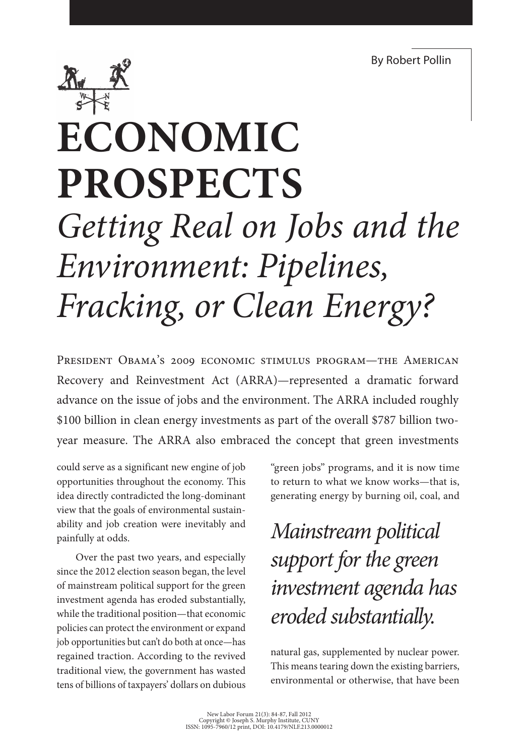By Robert Pollin



# **Economic Prospects**  *Getting Real on Jobs and the Environment: Pipelines, Fracking, or Clean Energy?*

President Obama's 2009 economic stimulus program—the American Recovery and Reinvestment Act (ARRA)—represented a dramatic forward advance on the issue of jobs and the environment. The ARRA included roughly \$100 billion in clean energy investments as part of the overall \$787 billion twoyear measure. The ARRA also embraced the concept that green investments

could serve as a significant new engine of job opportunities throughout the economy. This idea directly contradicted the long-dominant view that the goals of environmental sustainability and job creation were inevitably and painfully at odds.

Over the past two years, and especially since the 2012 election season began, the level of mainstream political support for the green investment agenda has eroded substantially, while the traditional position—that economic policies can protect the environment or expand job opportunities but can't do both at once—has regained traction. According to the revived traditional view, the government has wasted tens of billions of taxpayers' dollars on dubious

"green jobs" programs, and it is now time to return to what we know works—that is, generating energy by burning oil, coal, and

# *Mainstream political support for the green investment agenda has eroded substantially.*

natural gas, supplemented by nuclear power. This means tearing down the existing barriers, environmental or otherwise, that have been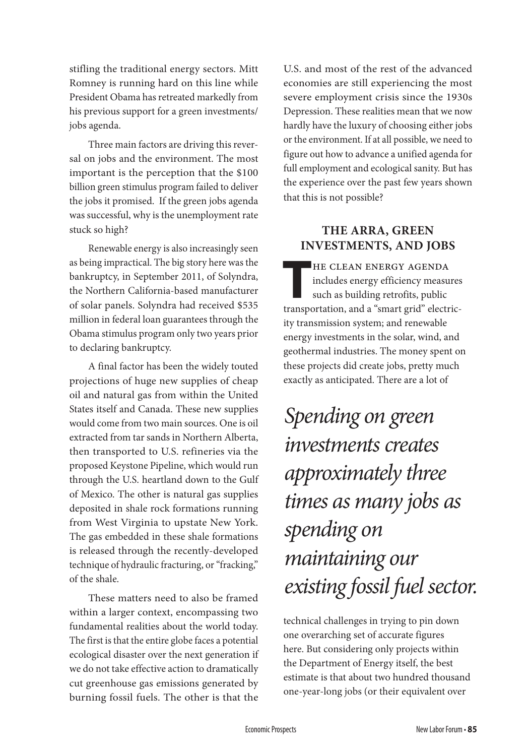stifling the traditional energy sectors. Mitt Romney is running hard on this line while President Obama has retreated markedly from his previous support for a green investments/ jobs agenda.

Three main factors are driving this reversal on jobs and the environment. The most important is the perception that the \$100 billion green stimulus program failed to deliver the jobs it promised. If the green jobs agenda was successful, why is the unemployment rate stuck so high?

Renewable energy is also increasingly seen as being impractical. The big story here was the bankruptcy, in September 2011, of Solyndra, the Northern California-based manufacturer of solar panels. Solyndra had received \$535 million in federal loan guarantees through the Obama stimulus program only two years prior to declaring bankruptcy.

A final factor has been the widely touted projections of huge new supplies of cheap oil and natural gas from within the United States itself and Canada. These new supplies would come from two main sources. One is oil extracted from tar sands in Northern Alberta, then transported to U.S. refineries via the proposed Keystone Pipeline, which would run through the U.S. heartland down to the Gulf of Mexico. The other is natural gas supplies deposited in shale rock formations running from West Virginia to upstate New York. The gas embedded in these shale formations is released through the recently-developed technique of hydraulic fracturing, or "fracking," of the shale.

These matters need to also be framed within a larger context, encompassing two fundamental realities about the world today. The first is that the entire globe faces a potential ecological disaster over the next generation if we do not take effective action to dramatically cut greenhouse gas emissions generated by burning fossil fuels. The other is that the

U.S. and most of the rest of the advanced economies are still experiencing the most severe employment crisis since the 1930s Depression. These realities mean that we now hardly have the luxury of choosing either jobs or the environment. If at all possible, we need to figure out how to advance a unified agenda for full employment and ecological sanity. But has the experience over the past few years shown that this is not possible?

### **The ARRA, Green Investments, and Jobs**

**THE CLEAN ENERGY AGENDA**<br>includes energy efficiency measured<br>such as building retrofits, public<br>transportation and a "smart grid" electri includes energy efficiency measures such as building retrofits, public transportation, and a "smart grid" electricity transmission system; and renewable energy investments in the solar, wind, and geothermal industries. The money spent on these projects did create jobs, pretty much exactly as anticipated. There are a lot of

*Spending on green investments creates approximately three times as many jobs as spending on maintaining our existing fossil fuel sector.* 

technical challenges in trying to pin down one overarching set of accurate figures here. But considering only projects within the Department of Energy itself, the best estimate is that about two hundred thousand one-year-long jobs (or their equivalent over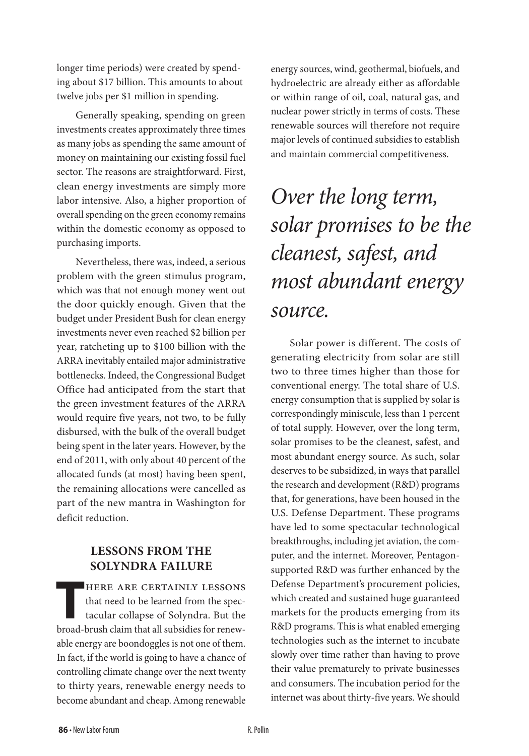longer time periods) were created by spending about \$17 billion. This amounts to about twelve jobs per \$1 million in spending.

Generally speaking, spending on green investments creates approximately three times as many jobs as spending the same amount of money on maintaining our existing fossil fuel sector. The reasons are straightforward. First, clean energy investments are simply more labor intensive. Also, a higher proportion of overall spending on the green economy remains within the domestic economy as opposed to purchasing imports.

Nevertheless, there was, indeed, a serious problem with the green stimulus program, which was that not enough money went out the door quickly enough. Given that the budget under President Bush for clean energy investments never even reached \$2 billion per year, ratcheting up to \$100 billion with the ARRA inevitably entailed major administrative bottlenecks. Indeed, the Congressional Budget Office had anticipated from the start that the green investment features of the ARRA would require five years, not two, to be fully disbursed, with the bulk of the overall budget being spent in the later years. However, by the end of 2011, with only about 40 percent of the allocated funds (at most) having been spent, the remaining allocations were cancelled as part of the new mantra in Washington for deficit reduction.

#### **Lessons from the Solyndra Failure**

**THERE ARE CERTAINLY LESSONS**<br>that need to be learned from the spec-<br>tacular collapse of Solyndra. But the that need to be learned from the spectacular collapse of Solyndra. But the broad-brush claim that all subsidies for renewable energy are boondoggles is not one of them. In fact, if the world is going to have a chance of controlling climate change over the next twenty to thirty years, renewable energy needs to become abundant and cheap. Among renewable

energy sources, wind, geothermal, biofuels, and hydroelectric are already either as affordable or within range of oil, coal, natural gas, and nuclear power strictly in terms of costs. These renewable sources will therefore not require major levels of continued subsidies to establish and maintain commercial competitiveness.

# *Over the long term, solar promises to be the cleanest, safest, and most abundant energy source.*

Solar power is different. The costs of generating electricity from solar are still two to three times higher than those for conventional energy. The total share of U.S. energy consumption that is supplied by solar is correspondingly miniscule, less than 1 percent of total supply. However, over the long term, solar promises to be the cleanest, safest, and most abundant energy source. As such, solar deserves to be subsidized, in ways that parallel the research and development (R&D) programs that, for generations, have been housed in the U.S. Defense Department. These programs have led to some spectacular technological breakthroughs, including jet aviation, the computer, and the internet. Moreover, Pentagonsupported R&D was further enhanced by the Defense Department's procurement policies, which created and sustained huge guaranteed markets for the products emerging from its R&D programs. This is what enabled emerging technologies such as the internet to incubate slowly over time rather than having to prove their value prematurely to private businesses and consumers. The incubation period for the internet was about thirty-five years. We should